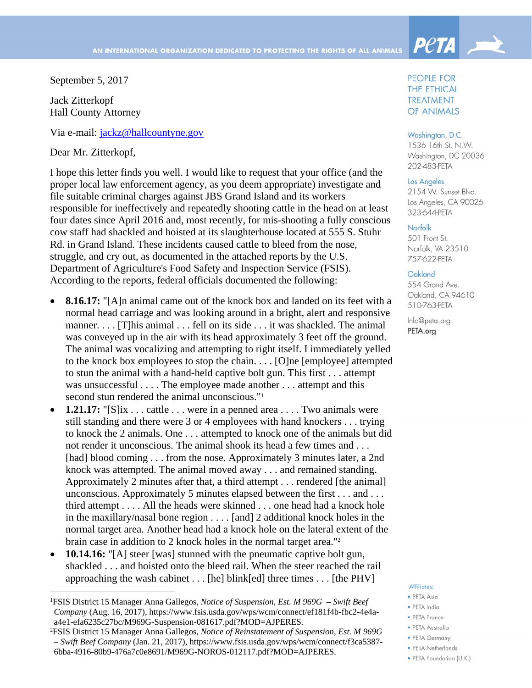September 5, 2017

Jack Zitterkopf Hall County Attorney

Via e-mail: jackz@hallcountyne.gov

Dear Mr. Zitterkopf,

 $\overline{a}$ 

I hope this letter finds you well. I would like to request that your office (and the proper local law enforcement agency, as you deem appropriate) investigate and file suitable criminal charges against JBS Grand Island and its workers responsible for ineffectively and repeatedly shooting cattle in the head on at least four dates since April 2016 and, most recently, for mis-shooting a fully conscious cow staff had shackled and hoisted at its slaughterhouse located at 555 S. Stuhr Rd. in Grand Island. These incidents caused cattle to bleed from the nose, struggle, and cry out, as documented in the attached reports by the U.S. Department of Agriculture's Food Safety and Inspection Service (FSIS). According to the reports, federal officials documented the following:

- **8.16.17:** "[A]n animal came out of the knock box and landed on its feet with a normal head carriage and was looking around in a bright, alert and responsive manner. . . . [T]his animal . . . fell on its side . . . it was shackled. The animal was conveyed up in the air with its head approximately 3 feet off the ground. The animal was vocalizing and attempting to right itself. I immediately yelled to the knock box employees to stop the chain. . . . [O]ne [employee] attempted to stun the animal with a hand-held captive bolt gun. This first . . . attempt was unsuccessful . . . . The employee made another . . . attempt and this second stun rendered the animal unconscious."<sup>1</sup>
- **1.21.17:** "[S]ix . . . cattle . . . were in a penned area . . . . Two animals were still standing and there were 3 or 4 employees with hand knockers . . . trying to knock the 2 animals. One . . . attempted to knock one of the animals but did not render it unconscious. The animal shook its head a few times and . . . [had] blood coming . . . from the nose. Approximately 3 minutes later, a 2nd knock was attempted. The animal moved away . . . and remained standing. Approximately 2 minutes after that, a third attempt . . . rendered [the animal] unconscious. Approximately 5 minutes elapsed between the first . . . and . . . third attempt . . . . All the heads were skinned . . . one head had a knock hole in the maxillary/nasal bone region . . . . [and] 2 additional knock holes in the normal target area. Another head had a knock hole on the lateral extent of the brain case in addition to 2 knock holes in the normal target area."2
- **10.14.16:** "[A] steer [was] stunned with the pneumatic captive bolt gun, shackled . . . and hoisted onto the bleed rail. When the steer reached the rail approaching the wash cabinet . . . [he] blink[ed] three times . . . [the PHV]

# PEOPLE FOR THE ETHICAL **TREATMENT** OF ANIMALS

**PetA** 

### Washington, D.C.

1536 16th St. N.W. Washinaton, DC 20036 202-483-PETA

## Los Angeles

2154 W. Sunset Blvd. Los Angeles, CA 90026 323-644-PFTA

#### Norfolk

501 Front St. Norfolk, VA 23510 757-622-PETA

## Oakland

554 Grand Ave. Oakland, CA 94610 510-763-PETA

Info@peta.org PETA.org

# Affiliates:

- · PETA Asia
- · PETA India
- PETA France
- · PETA Australia
- · PETA Germany
- · PETA Netherlands
- · PETA Foundation (U.K.)

<sup>1</sup> FSIS District 15 Manager Anna Gallegos, *Notice of Suspension, Est. M 969G – Swift Beef Company* (Aug. 16, 2017), https://www.fsis.usda.gov/wps/wcm/connect/ef181f4b-fbc2-4e4aa4e1-efa6235c27bc/M969G-Suspension-081617.pdf?MOD=AJPERES.

<sup>2</sup> FSIS District 15 Manager Anna Gallegos, *Notice of Reinstatement of Suspension, Est. M 969G – Swift Beef Company* (Jan. 21, 2017), https://www.fsis.usda.gov/wps/wcm/connect/f3ca5387- 6bba-4916-80b9-476a7c0e8691/M969G-NOROS-012117.pdf?MOD=AJPERES.